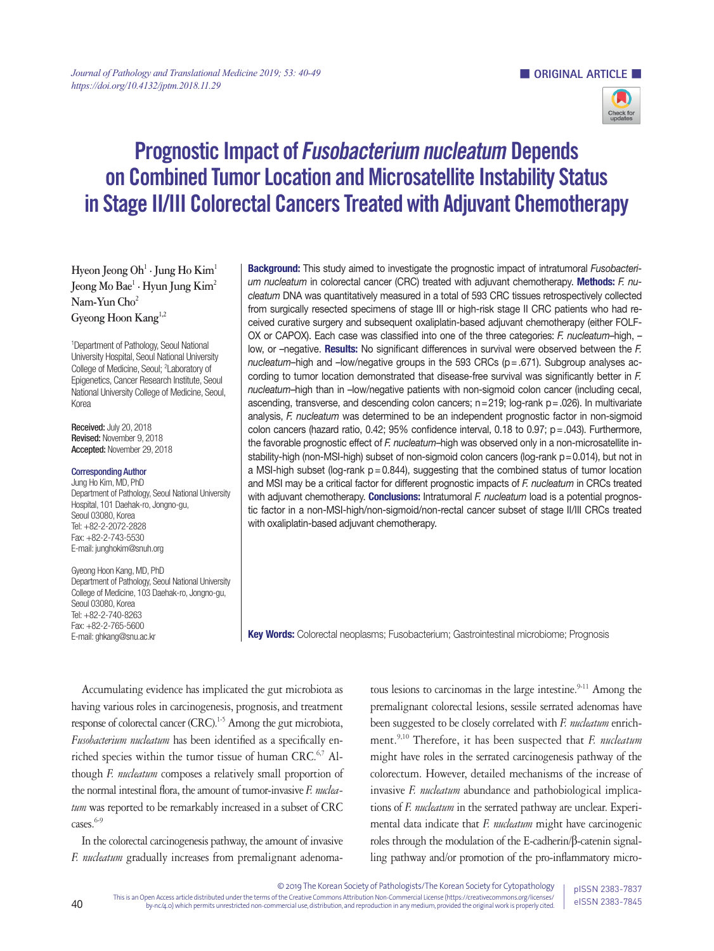

# Prognostic Impact of Fusobacterium nucleatum Depends on Combined Tumor Location and Microsatellite Instability Status in Stage II/III Colorectal Cancers Treated with Adjuvant Chemotherapy

Hyeon Jeong Oh<sup>1</sup> · Jung Ho Kim<sup>1</sup> **Jeong Mo Bae1 · Hyun Jung Kim2 Nam-Yun Cho2 Gyeong Hoon Kang1,2**

1 Department of Pathology, Seoul National University Hospital, Seoul National University College of Medicine, Seoul; <sup>2</sup>Laboratory of Epigenetics, Cancer Research Institute, Seoul National University College of Medicine, Seoul, Korea

Received: July 20, 2018 Revised: November 9, 2018 Accepted: November 29, 2018

#### Corresponding Author

Jung Ho Kim, MD, PhD Department of Pathology, Seoul National University Hospital, 101 Daehak-ro, Jongno-gu, Seoul 03080, Korea Tel: +82-2-2072-2828 Fax: +82-2-743-5530 E-mail: junghokim@snuh.org

Gyeong Hoon Kang, MD, PhD Department of Pathology, Seoul National University College of Medicine, 103 Daehak-ro, Jongno-gu, Seoul 03080, Korea Tel: +82-2-740-8263 Fax: +82-2-765-5600 E-mail: ghkang@snu.ac.kr

Background: This study aimed to investigate the prognostic impact of intratumoral *Fusobacterium nucleatum* in colorectal cancer (CRC) treated with adjuvant chemotherapy. Methods: *F. nucleatum* DNA was quantitatively measured in a total of 593 CRC tissues retrospectively collected from surgically resected specimens of stage III or high-risk stage II CRC patients who had received curative surgery and subsequent oxaliplatin-based adjuvant chemotherapy (either FOLF-OX or CAPOX). Each case was classified into one of the three categories: *F. nucleatum*–high, – low, or –negative. Results: No significant differences in survival were observed between the *F. nucleatum*–high and –low/negative groups in the 593 CRCs (p = .671). Subgroup analyses according to tumor location demonstrated that disease-free survival was significantly better in *F. nucleatum*–high than in –low/negative patients with non-sigmoid colon cancer (including cecal, ascending, transverse, and descending colon cancers; n=219; log-rank p=.026). In multivariate analysis, *F. nucleatum* was determined to be an independent prognostic factor in non-sigmoid colon cancers (hazard ratio,  $0.42$ ;  $95\%$  confidence interval,  $0.18$  to  $0.97$ ;  $p = .043$ ). Furthermore, the favorable prognostic effect of *F. nucleatum*–high was observed only in a non-microsatellite instability-high (non-MSI-high) subset of non-sigmoid colon cancers (log-rank p=0.014), but not in a MSI-high subset (log-rank  $p = 0.844$ ), suggesting that the combined status of tumor location and MSI may be a critical factor for different prognostic impacts of *F. nucleatum* in CRCs treated with adjuvant chemotherapy. **Conclusions:** Intratumoral *F. nucleatum* load is a potential prognostic factor in a non-MSI-high/non-sigmoid/non-rectal cancer subset of stage II/III CRCs treated with oxaliplatin-based adjuvant chemotherapy.

Key Words: Colorectal neoplasms; Fusobacterium; Gastrointestinal microbiome; Prognosis

Accumulating evidence has implicated the gut microbiota as having various roles in carcinogenesis, prognosis, and treatment response of colorectal cancer (CRC).<sup>1-5</sup> Among the gut microbiota, *Fusobacterium nucleatum* has been identified as a specifically enriched species within the tumor tissue of human CRC.<sup>6,7</sup> Although *F. nucleatum* composes a relatively small proportion of the normal intestinal flora, the amount of tumor-invasive *F. nucleatum* was reported to be remarkably increased in a subset of CRC cases.<sup>6-9</sup>

In the colorectal carcinogenesis pathway, the amount of invasive *F. nucleatum* gradually increases from premalignant adenoma-

tous lesions to carcinomas in the large intestine.<sup>9-11</sup> Among the premalignant colorectal lesions, sessile serrated adenomas have been suggested to be closely correlated with *F. nucleatum* enrichment.9,10 Therefore, it has been suspected that *F. nucleatum* might have roles in the serrated carcinogenesis pathway of the colorectum. However, detailed mechanisms of the increase of invasive *F. nucleatum* abundance and pathobiological implications of *F. nucleatum* in the serrated pathway are unclear. Experimental data indicate that *F. nucleatum* might have carcinogenic roles through the modulation of the E-cadherin/β-catenin signalling pathway and/or promotion of the pro-inflammatory micro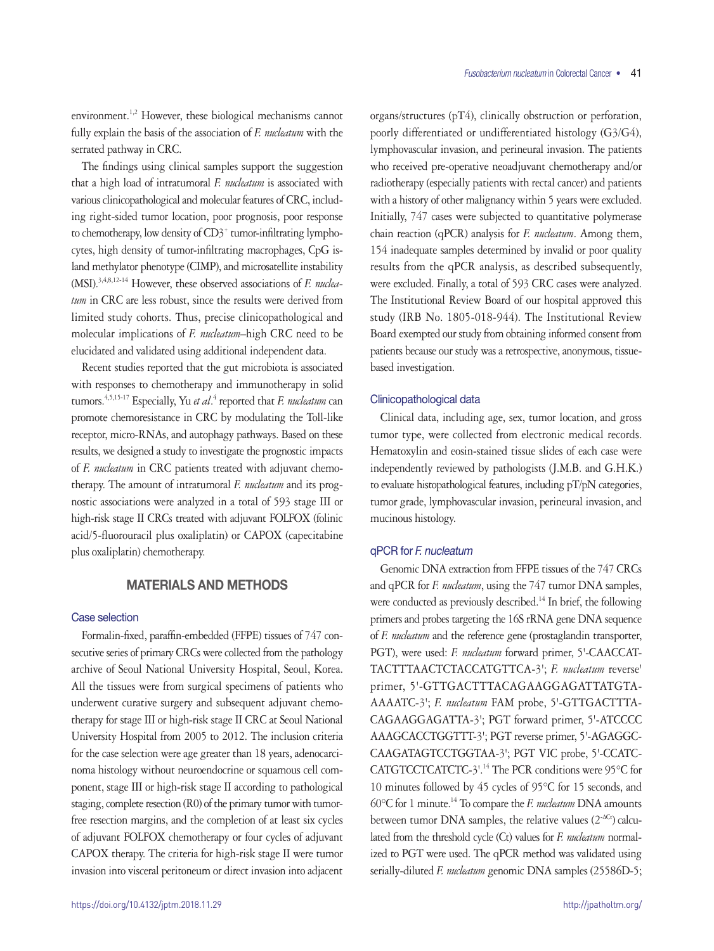environment.<sup>1,2</sup> However, these biological mechanisms cannot fully explain the basis of the association of *F. nucleatum* with the serrated pathway in CRC.

The findings using clinical samples support the suggestion that a high load of intratumoral *F. nucleatum* is associated with various clinicopathological and molecular features of CRC, including right-sided tumor location, poor prognosis, poor response to chemotherapy, low density of CD3<sup>+</sup> tumor-infiltrating lymphocytes, high density of tumor-infiltrating macrophages, CpG island methylator phenotype (CIMP), and microsatellite instability (MSI).3,4,8,12-14 However, these observed associations of *F. nucleatum* in CRC are less robust, since the results were derived from limited study cohorts. Thus, precise clinicopathological and molecular implications of *F. nucleatum*–high CRC need to be elucidated and validated using additional independent data.

Recent studies reported that the gut microbiota is associated with responses to chemotherapy and immunotherapy in solid tumors.<sup>4,5,15-17</sup> Especially, Yu *et al*.<sup>4</sup> reported that *F. nucleatum* can promote chemoresistance in CRC by modulating the Toll-like receptor, micro-RNAs, and autophagy pathways. Based on these results, we designed a study to investigate the prognostic impacts of *F. nucleatum* in CRC patients treated with adjuvant chemotherapy. The amount of intratumoral *F. nucleatum* and its prognostic associations were analyzed in a total of 593 stage III or high-risk stage II CRCs treated with adjuvant FOLFOX (folinic acid/5-fluorouracil plus oxaliplatin) or CAPOX (capecitabine plus oxaliplatin) chemotherapy.

# MATERIALS AND METHODS

### Case selection

Formalin-fixed, paraffin-embedded (FFPE) tissues of 747 consecutive series of primary CRCs were collected from the pathology archive of Seoul National University Hospital, Seoul, Korea. All the tissues were from surgical specimens of patients who underwent curative surgery and subsequent adjuvant chemotherapy for stage III or high-risk stage II CRC at Seoul National University Hospital from 2005 to 2012. The inclusion criteria for the case selection were age greater than 18 years, adenocarcinoma histology without neuroendocrine or squamous cell component, stage III or high-risk stage II according to pathological staging, complete resection (R0) of the primary tumor with tumorfree resection margins, and the completion of at least six cycles of adjuvant FOLFOX chemotherapy or four cycles of adjuvant CAPOX therapy. The criteria for high-risk stage II were tumor invasion into visceral peritoneum or direct invasion into adjacent

organs/structures (pT4), clinically obstruction or perforation, poorly differentiated or undifferentiated histology (G3/G4), lymphovascular invasion, and perineural invasion. The patients who received pre-operative neoadjuvant chemotherapy and/or radiotherapy (especially patients with rectal cancer) and patients with a history of other malignancy within 5 years were excluded. Initially, 747 cases were subjected to quantitative polymerase chain reaction (qPCR) analysis for *F. nucleatum*. Among them, 154 inadequate samples determined by invalid or poor quality results from the qPCR analysis, as described subsequently, were excluded. Finally, a total of 593 CRC cases were analyzed. The Institutional Review Board of our hospital approved this study (IRB No. 1805-018-944). The Institutional Review Board exempted our study from obtaining informed consent from patients because our study was a retrospective, anonymous, tissuebased investigation.

### Clinicopathological data

Clinical data, including age, sex, tumor location, and gross tumor type, were collected from electronic medical records. Hematoxylin and eosin-stained tissue slides of each case were independently reviewed by pathologists (J.M.B. and G.H.K.) to evaluate histopathological features, including pT/pN categories, tumor grade, lymphovascular invasion, perineural invasion, and mucinous histology.

#### qPCR for F. nucleatum

Genomic DNA extraction from FFPE tissues of the 747 CRCs and qPCR for *F. nucleatum*, using the 747 tumor DNA samples, were conducted as previously described.<sup>14</sup> In brief, the following primers and probes targeting the 16S rRNA gene DNA sequence of *F. nucleatum* and the reference gene (prostaglandin transporter, PGT), were used: *F. nucleatum* forward primer, 5'-CAACCAT-TACTTTAACTCTACCATGTTCA-3'; *F. nucleatum* reverse' primer, 5'-GTTGACTTTACAGAAGGAGATTATGTA-AAAATC-3'; *F. nucleatum* FAM probe, 5'-GTTGACTTTA-CAGAAGGAGATTA-3'; PGT forward primer, 5'-ATCCCC AAAGCACCTGGTTT-3'; PGT reverse primer, 5'-AGAGGC-CAAGATAGTCCTGGTAA-3'; PGT VIC probe, 5'-CCATC-CATGTCCTCATCTC-3'.<sup>14</sup> The PCR conditions were 95°C for 10 minutes followed by 45 cycles of 95°C for 15 seconds, and 60°C for 1 minute.14 To compare the *F. nucleatum* DNA amounts between tumor DNA samples, the relative values  $(2^{-\Delta C_t})$  calculated from the threshold cycle (Ct) values for *F. nucleatum* normalized to PGT were used. The qPCR method was validated using serially-diluted *F. nucleatum* genomic DNA samples (25586D-5;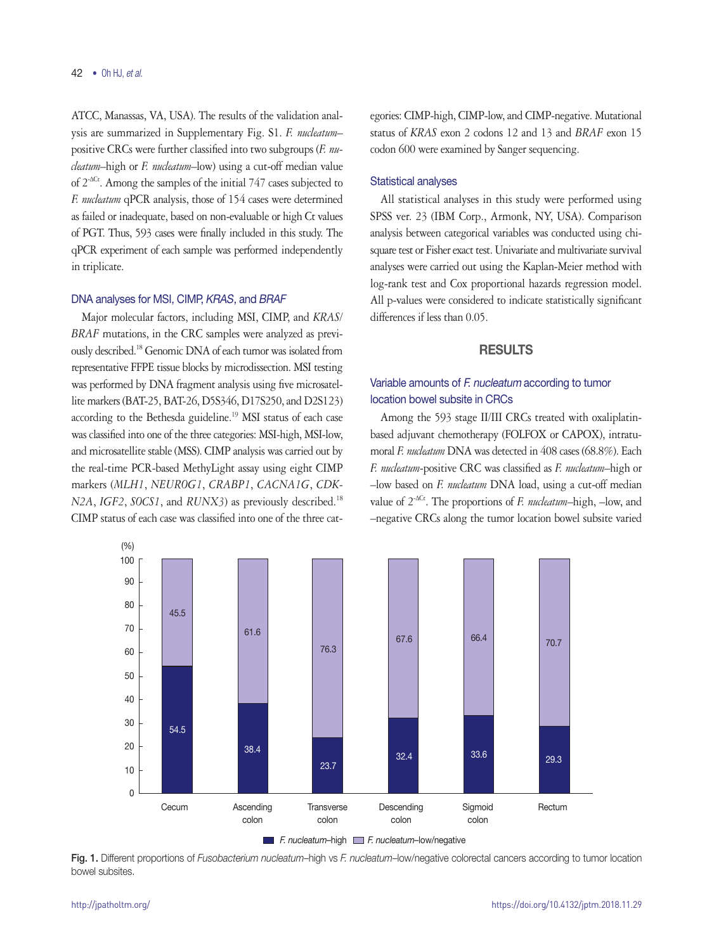ATCC, Manassas, VA, USA). The results of the validation analysis are summarized in Supplementary Fig. S1. *F. nucleatum*– positive CRCs were further classified into two subgroups (*F. nucleatum*–high or *F. nucleatum*–low) using a cut-off median value of 2-∆Ct. Among the samples of the initial 747 cases subjected to *F. nucleatum* qPCR analysis, those of 154 cases were determined as failed or inadequate, based on non-evaluable or high Ct values of PGT. Thus, 593 cases were finally included in this study. The qPCR experiment of each sample was performed independently in triplicate.

### DNA analyses for MSI, CIMP, KRAS, and BRAF

Major molecular factors, including MSI, CIMP, and *KRAS/ BRAF* mutations, in the CRC samples were analyzed as previously described.18 Genomic DNA of each tumor was isolated from representative FFPE tissue blocks by microdissection. MSI testing was performed by DNA fragment analysis using five microsatellite markers (BAT-25, BAT-26, D5S346, D17S250, and D2S123) according to the Bethesda guideline.<sup>19</sup> MSI status of each case was classified into one of the three categories: MSI-high, MSI-low, and microsatellite stable (MSS). CIMP analysis was carried out by the real-time PCR-based MethyLight assay using eight CIMP markers (*MLH1*, *NEUROG1*, *CRABP1*, *CACNA1G*, *CDK-N2A*, *IGF2*, *SOCS1*, and *RUNX3*) as previously described.<sup>18</sup> CIMP status of each case was classified into one of the three categories: CIMP-high, CIMP-low, and CIMP-negative. Mutational status of *KRAS* exon 2 codons 12 and 13 and *BRAF* exon 15 codon 600 were examined by Sanger sequencing.

### Statistical analyses

All statistical analyses in this study were performed using SPSS ver. 23 (IBM Corp., Armonk, NY, USA). Comparison analysis between categorical variables was conducted using chisquare test or Fisher exact test. Univariate and multivariate survival analyses were carried out using the Kaplan-Meier method with log-rank test and Cox proportional hazards regression model. All p-values were considered to indicate statistically significant differences if less than 0.05.

## RESULTS

# Variable amounts of F. nucleatum according to tumor location bowel subsite in CRCs

Among the 593 stage II/III CRCs treated with oxaliplatinbased adjuvant chemotherapy (FOLFOX or CAPOX), intratumoral *F. nucleatum* DNA was detected in 408 cases (68.8%). Each *F. nucleatum*-positive CRC was classified as *F. nucleatum*–high or –low based on *F. nucleatum* DNA load, using a cut-off median value of 2-∆Ct. The proportions of *F. nucleatum*–high, –low, and –negative CRCs along the tumor location bowel subsite varied



Fig. 1. Different proportions of *Fusobacterium nucleatum*–high vs *F. nucleatum*–low/negative colorectal cancers according to tumor location bowel subsites.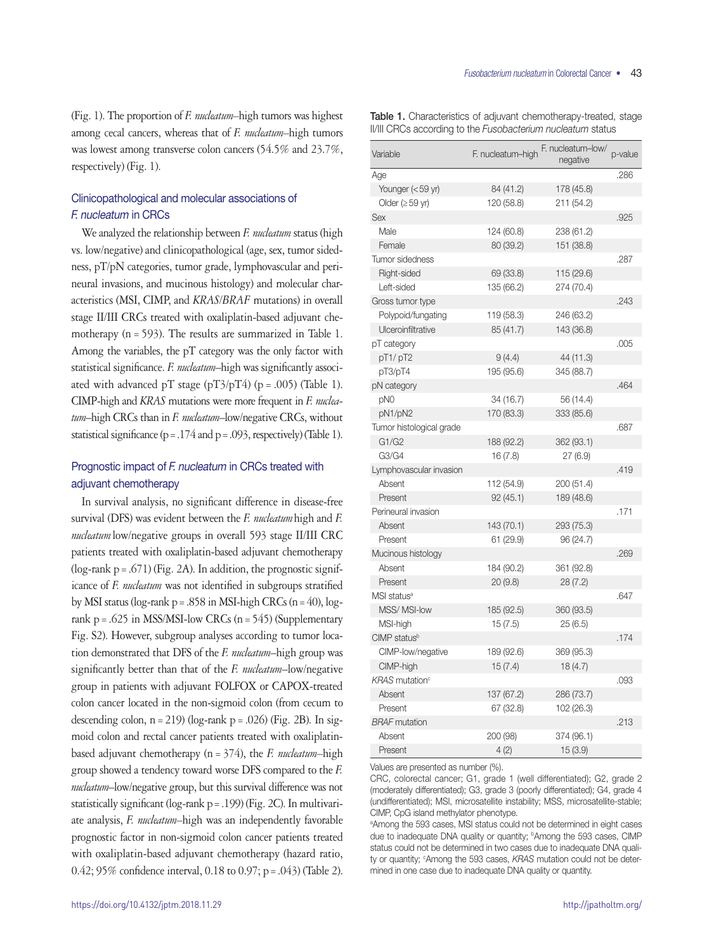(Fig. 1). The proportion of *F. nucleatum–*high tumors was highest among cecal cancers, whereas that of *F. nucleatum–*high tumors was lowest among transverse colon cancers (54.5% and 23.7%, respectively) (Fig. 1).

# Clinicopathological and molecular associations of F. nucleatum in CRCs

We analyzed the relationship between *F. nucleatum* status (high vs. low/negative) and clinicopathological (age, sex, tumor sidedness, pT/pN categories, tumor grade, lymphovascular and perineural invasions, and mucinous histology) and molecular characteristics (MSI, CIMP, and *KRAS/BRAF* mutations) in overall stage II/III CRCs treated with oxaliplatin-based adjuvant chemotherapy (n=593). The results are summarized in Table 1. Among the variables, the pT category was the only factor with statistical significance. *F. nucleatum*–high was significantly associated with advanced pT stage (pT3/pT4) (p = .005) (Table 1). CIMP-high and *KRAS* mutations were more frequent in *F. nucleatum*–high CRCs than in *F. nucleatum*–low/negative CRCs, without statistical significance ( $p = .174$  and  $p = .093$ , respectively) (Table 1).

# Prognostic impact of F. nucleatum in CRCs treated with adjuvant chemotherapy

In survival analysis, no significant difference in disease-free survival (DFS) was evident between the *F. nucleatum*high and *F. nucleatum*low/negative groups in overall 593 stage II/III CRC patients treated with oxaliplatin-based adjuvant chemotherapy  $(log-rank p = .671)$  (Fig. 2A). In addition, the prognostic significance of *F. nucleatum* was not identified in subgroups stratified by MSI status (log-rank  $p = .858$  in MSI-high CRCs (n = 40), logrank p = .625 in MSS/MSI-low CRCs ( $n = 545$ ) (Supplementary Fig. S2). However, subgroup analyses according to tumor location demonstrated that DFS of the *F. nucleatum*–high group was significantly better than that of the *F. nucleatum*–low/negative group in patients with adjuvant FOLFOX or CAPOX-treated colon cancer located in the non-sigmoid colon (from cecum to descending colon,  $n = 219$ ) (log-rank  $p = .026$ ) (Fig. 2B). In sigmoid colon and rectal cancer patients treated with oxaliplatinbased adjuvant chemotherapy (n=374), the *F. nucleatum–*high group showed a tendency toward worse DFS compared to the *F. nucleatum*–low/negative group, but this survival difference was not statistically significant (log-rank p=.199) (Fig. 2C). In multivariate analysis, *F. nucleatum–*high was an independently favorable prognostic factor in non-sigmoid colon cancer patients treated with oxaliplatin-based adjuvant chemotherapy (hazard ratio, 0.42; 95% confidence interval, 0.18 to 0.97; p=.043) (Table 2).

Table 1. Characteristics of adjuvant chemotherapy-treated, stage II/III CRCs according to the *Fusobacterium nucleatum* status

| Variable                          | F. nucleatum-high | F. nucleatum-low/<br>negative | p-value |
|-----------------------------------|-------------------|-------------------------------|---------|
| Age                               |                   |                               | .286    |
| Younger (<59 yr)                  | 84 (41.2)         | 178 (45.8)                    |         |
| Older ( $\geq$ 59 yr)             | 120 (58.8)        | 211 (54.2)                    |         |
| <b>Sex</b>                        |                   |                               | .925    |
| Male                              | 124 (60.8)        | 238 (61.2)                    |         |
| Female                            | 80 (39.2)         | 151 (38.8)                    |         |
| Tumor sidedness                   |                   |                               | .287    |
| Right-sided                       | 69 (33.8)         | 115 (29.6)                    |         |
| Left-sided                        | 135 (66.2)        | 274 (70.4)                    |         |
| Gross tumor type                  |                   |                               | .243    |
| Polypoid/fungating                | 119 (58.3)        | 246 (63.2)                    |         |
| Ulceroinfiltrative                | 85 (41.7)         | 143 (36.8)                    |         |
| pT category                       |                   |                               | .005    |
| pT1/pT2                           | 9(4.4)            | 44 (11.3)                     |         |
| pT3/pT4                           | 195 (95.6)        | 345 (88.7)                    |         |
| pN category                       |                   |                               | .464    |
| pN0                               | 34 (16.7)         | 56 (14.4)                     |         |
| pN1/pN2                           | 170 (83.3)        | 333 (85.6)                    |         |
| Tumor histological grade          |                   |                               | .687    |
| G1/G2                             | 188 (92.2)        | 362 (93.1)                    |         |
| G3/G4                             | 16(7.8)           | 27 (6.9)                      |         |
| Lymphovascular invasion           |                   |                               | .419    |
| Absent                            | 112 (54.9)        | 200 (51.4)                    |         |
| Present                           | 92(45.1)          | 189 (48.6)                    |         |
| Perineural invasion               |                   |                               | .171    |
| Absent                            | 143 (70.1)        | 293 (75.3)                    |         |
| Present                           | 61 (29.9)         | 96 (24.7)                     |         |
| Mucinous histology                |                   |                               | .269    |
| Absent                            | 184 (90.2)        | 361 (92.8)                    |         |
| Present                           | 20 (9.8)          | 28(7.2)                       |         |
| MSI status <sup>a</sup>           |                   |                               | .647    |
| MSS/MSI-low                       | 185 (92.5)        | 360 (93.5)                    |         |
| MSI-high                          | 15(7.5)           | 25(6.5)                       |         |
| CIMP status <sup>b</sup>          |                   |                               | .174    |
| CIMP-low/negative                 | 189 (92.6)        | 369 (95.3)                    |         |
| CIMP-high                         | 15(7.4)           | 18(4.7)                       |         |
| <b>KRAS</b> mutation <sup>c</sup> |                   |                               | .093    |
| Absent                            | 137 (67.2)        | 286 (73.7)                    |         |
| Present                           | 67 (32.8)         | 102 (26.3)                    |         |
| <b>BRAF</b> mutation              |                   |                               | .213    |
| Absent                            | 200 (98)          | 374 (96.1)                    |         |
| Present                           | 4(2)              | 15 (3.9)                      |         |

Values are presented as number (%).

CRC, colorectal cancer; G1, grade 1 (well differentiated); G2, grade 2 (moderately differentiated); G3, grade 3 (poorly differentiated); G4, grade 4 (undifferentiated); MSI, microsatellite instability; MSS, microsatellite-stable; CIMP, CpG island methylator phenotype.

a Among the 593 cases, MSI status could not be determined in eight cases due to inadequate DNA quality or quantity; <sup>b</sup>Among the 593 cases, CIMP status could not be determined in two cases due to inadequate DNA quality or quantity; <sup>c</sup>Among the 593 cases, KRAS mutation could not be determined in one case due to inadequate DNA quality or quantity.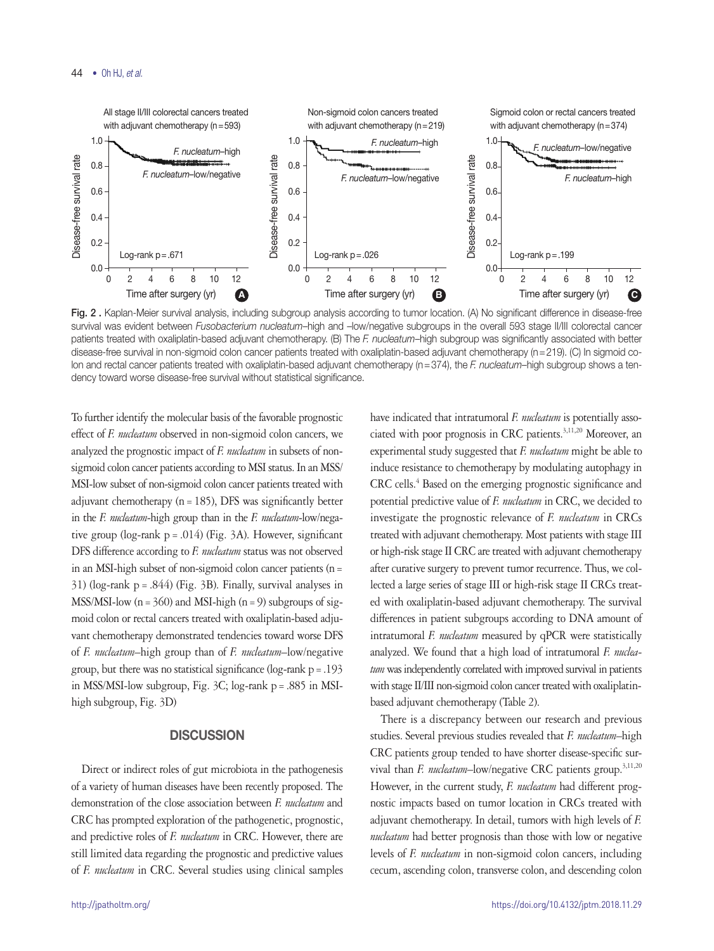

Fig. 2. Kaplan-Meier survival analysis, including subgroup analysis according to tumor location. (A) No significant difference in disease-free survival was evident between *Fusobacterium nucleatum*–high and –low/negative subgroups in the overall 593 stage II/III colorectal cancer patients treated with oxaliplatin-based adjuvant chemotherapy. (B) The *F. nucleatum*–high subgroup was significantly associated with better disease-free survival in non-sigmoid colon cancer patients treated with oxaliplatin-based adjuvant chemotherapy (n=219). (C) In sigmoid colon and rectal cancer patients treated with oxaliplatin-based adjuvant chemotherapy (n=374), the *F. nucleatum–*high subgroup shows a tendency toward worse disease-free survival without statistical significance.

To further identify the molecular basis of the favorable prognostic effect of *F. nucleatum* observed in non-sigmoid colon cancers, we analyzed the prognostic impact of *F. nucleatum* in subsets of nonsigmoid colon cancer patients according to MSI status. In an MSS/ MSI-low subset of non-sigmoid colon cancer patients treated with adjuvant chemotherapy ( $n = 185$ ), DFS was significantly better in the *F. nucleatum*-high group than in the *F. nucleatum*-low/negative group (log-rank  $p = .014$ ) (Fig. 3A). However, significant DFS difference according to *F. nucleatum* status was not observed in an MSI-high subset of non-sigmoid colon cancer patients (n= 31) (log-rank  $p = .844$ ) (Fig. 3B). Finally, survival analyses in MSS/MSI-low  $(n=360)$  and MSI-high  $(n=9)$  subgroups of sigmoid colon or rectal cancers treated with oxaliplatin-based adjuvant chemotherapy demonstrated tendencies toward worse DFS of *F. nucleatum*–high group than of *F. nucleatum*–low/negative group, but there was no statistical significance (log-rank p=.193 in MSS/MSI-low subgroup, Fig. 3C; log-rank p=.885 in MSIhigh subgroup, Fig. 3D)

# **DISCUSSION**

Direct or indirect roles of gut microbiota in the pathogenesis of a variety of human diseases have been recently proposed. The demonstration of the close association between *F. nucleatum* and CRC has prompted exploration of the pathogenetic, prognostic, and predictive roles of *F. nucleatum* in CRC. However, there are still limited data regarding the prognostic and predictive values of *F. nucleatum* in CRC. Several studies using clinical samples ciated with poor prognosis in CRC patients.<sup>3,11,20</sup> Moreover, an experimental study suggested that *F. nucleatum* might be able to induce resistance to chemotherapy by modulating autophagy in CRC cells.<sup>4</sup> Based on the emerging prognostic significance and potential predictive value of *F. nucleatum* in CRC, we decided to investigate the prognostic relevance of *F. nucleatum* in CRCs treated with adjuvant chemotherapy. Most patients with stage III or high-risk stage II CRC are treated with adjuvant chemotherapy after curative surgery to prevent tumor recurrence. Thus, we collected a large series of stage III or high-risk stage II CRCs treated with oxaliplatin-based adjuvant chemotherapy. The survival differences in patient subgroups according to DNA amount of intratumoral *F. nucleatum* measured by qPCR were statistically analyzed. We found that a high load of intratumoral *F. nucleatum* was independently correlated with improved survival in patients with stage II/III non-sigmoid colon cancer treated with oxaliplatinbased adjuvant chemotherapy (Table 2).

have indicated that intratumoral *F. nucleatum* is potentially asso-

There is a discrepancy between our research and previous studies. Several previous studies revealed that *F. nucleatum*–high CRC patients group tended to have shorter disease-specific survival than *F. nucleatum*-low/negative CRC patients group.<sup>3,11,20</sup> However, in the current study, *F. nucleatum* had different prognostic impacts based on tumor location in CRCs treated with adjuvant chemotherapy. In detail, tumors with high levels of *F. nucleatum* had better prognosis than those with low or negative levels of *F. nucleatum* in non-sigmoid colon cancers, including cecum, ascending colon, transverse colon, and descending colon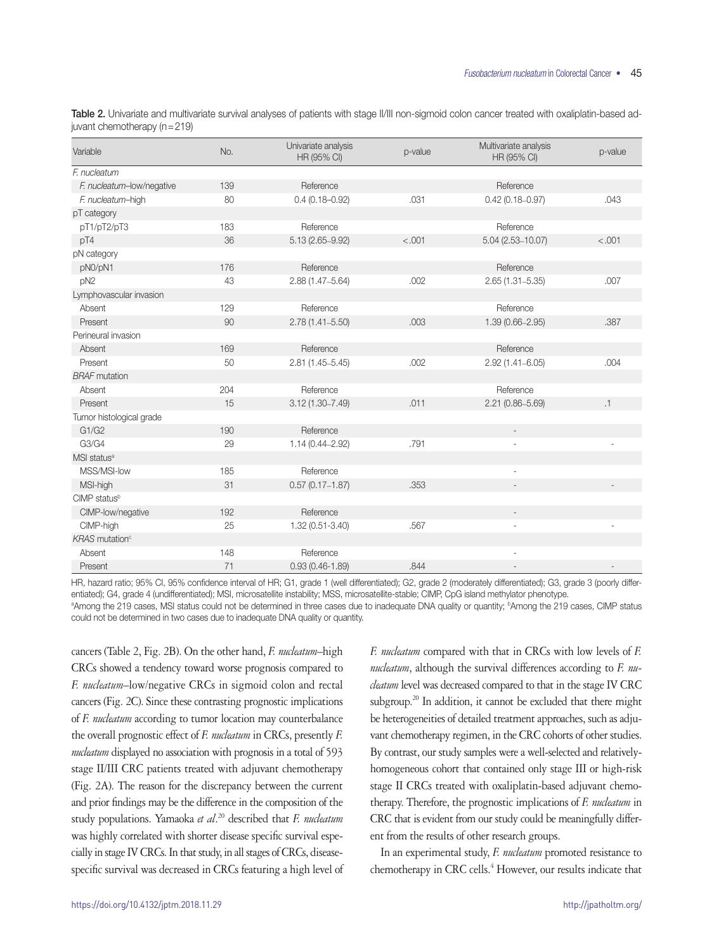Table 2. Univariate and multivariate survival analyses of patients with stage II/III non-sigmoid colon cancer treated with oxaliplatin-based adjuvant chemotherapy (n=219)

| Variable                          | No. | Univariate analysis<br>HR (95% CI) | p-value | Multivariate analysis<br>HR (95% CI) | p-value |
|-----------------------------------|-----|------------------------------------|---------|--------------------------------------|---------|
| F. nucleatum                      |     |                                    |         |                                      |         |
| F. nucleatum-low/negative         | 139 | Reference                          |         | Reference                            |         |
| F. nucleatum-high                 | 80  | $0.4(0.18 - 0.92)$                 | .031    | $0.42(0.18 - 0.97)$                  | .043    |
| pT category                       |     |                                    |         |                                      |         |
| pT1/pT2/pT3                       | 183 | Reference                          |         | Reference                            |         |
| pT4                               | 36  | 5.13 (2.65-9.92)                   | < .001  | $5.04(2.53 - 10.07)$                 | < .001  |
| pN category                       |     |                                    |         |                                      |         |
| pN0/pN1                           | 176 | Reference                          |         | Reference                            |         |
| pN <sub>2</sub>                   | 43  | 2.88 (1.47-5.64)                   | .002    | $2.65(1.31 - 5.35)$                  | .007    |
| Lymphovascular invasion           |     |                                    |         |                                      |         |
| Absent                            | 129 | Reference                          |         | Reference                            |         |
| Present                           | 90  | $2.78(1.41 - 5.50)$                | .003    | 1.39 (0.66-2.95)                     | .387    |
| Perineural invasion               |     |                                    |         |                                      |         |
| Absent                            | 169 | Reference                          |         | Reference                            |         |
| Present                           | 50  | $2.81(1.45 - 5.45)$                | .002    | $2.92(1.41 - 6.05)$                  | .004    |
| <b>BRAF</b> mutation              |     |                                    |         |                                      |         |
| Absent                            | 204 | Reference                          |         | Reference                            |         |
| Present                           | 15  | $3.12(1.30 - 7.49)$                | .011    | $2.21(0.86 - 5.69)$                  | .1      |
| Tumor histological grade          |     |                                    |         |                                      |         |
| G1/G2                             | 190 | Reference                          |         | $\overline{\phantom{a}}$             |         |
| G3/G4                             | 29  | $1.14(0.44 - 2.92)$                | .791    |                                      |         |
| MSI status <sup>a</sup>           |     |                                    |         |                                      |         |
| MSS/MSI-low                       | 185 | Reference                          |         | ÷,                                   |         |
| MSI-high                          | 31  | $0.57(0.17 - 1.87)$                | .353    |                                      |         |
| CIMP statusb                      |     |                                    |         |                                      |         |
| CIMP-low/negative                 | 192 | Reference                          |         | $\overline{\phantom{a}}$             |         |
| CIMP-high                         | 25  | 1.32 (0.51-3.40)                   | .567    |                                      |         |
| <b>KRAS</b> mutation <sup>c</sup> |     |                                    |         |                                      |         |
| Absent                            | 148 | Reference                          |         |                                      |         |
| Present                           | 71  | $0.93(0.46-1.89)$                  | .844    |                                      |         |

HR, hazard ratio; 95% CI, 95% confidence interval of HR; G1, grade 1 (well differentiated); G2, grade 2 (moderately differentiated); G3, grade 3 (poorly differentiated); G4, grade 4 (undifferentiated); MSI, microsatellite instability; MSS, microsatellite-stable; CIMP, CpG island methylator phenotype.

ªAmong the 219 cases, MSI status could not be determined in three cases due to inadequate DNA quality or quantity; <sup>b</sup>Among the 219 cases, CIMP status could not be determined in two cases due to inadequate DNA quality or quantity.

cancers (Table 2, Fig. 2B). On the other hand, *F. nucleatum*–high CRCs showed a tendency toward worse prognosis compared to *F. nucleatum*–low/negative CRCs in sigmoid colon and rectal cancers (Fig. 2C). Since these contrasting prognostic implications of *F. nucleatum* according to tumor location may counterbalance the overall prognostic effect of *F. nucleatum* in CRCs, presently *F. nucleatum* displayed no association with prognosis in a total of 593 stage II/III CRC patients treated with adjuvant chemotherapy (Fig. 2A). The reason for the discrepancy between the current and prior findings may be the difference in the composition of the study populations. Yamaoka *et al*. 20 described that *F. nucleatum* was highly correlated with shorter disease specific survival especially in stage IV CRCs. In that study, in all stages of CRCs, diseasespecific survival was decreased in CRCs featuring a high level of

*F. nucleatum* compared with that in CRCs with low levels of *F. nucleatum*, although the survival differences according to *F. nucleatum* level was decreased compared to that in the stage IV CRC subgroup.<sup>20</sup> In addition, it cannot be excluded that there might be heterogeneities of detailed treatment approaches, such as adjuvant chemotherapy regimen, in the CRC cohorts of other studies. By contrast, our study samples were a well-selected and relativelyhomogeneous cohort that contained only stage III or high-risk stage II CRCs treated with oxaliplatin-based adjuvant chemotherapy. Therefore, the prognostic implications of *F. nucleatum* in CRC that is evident from our study could be meaningfully different from the results of other research groups.

In an experimental study, *F. nucleatum* promoted resistance to chemotherapy in CRC cells.<sup>4</sup> However, our results indicate that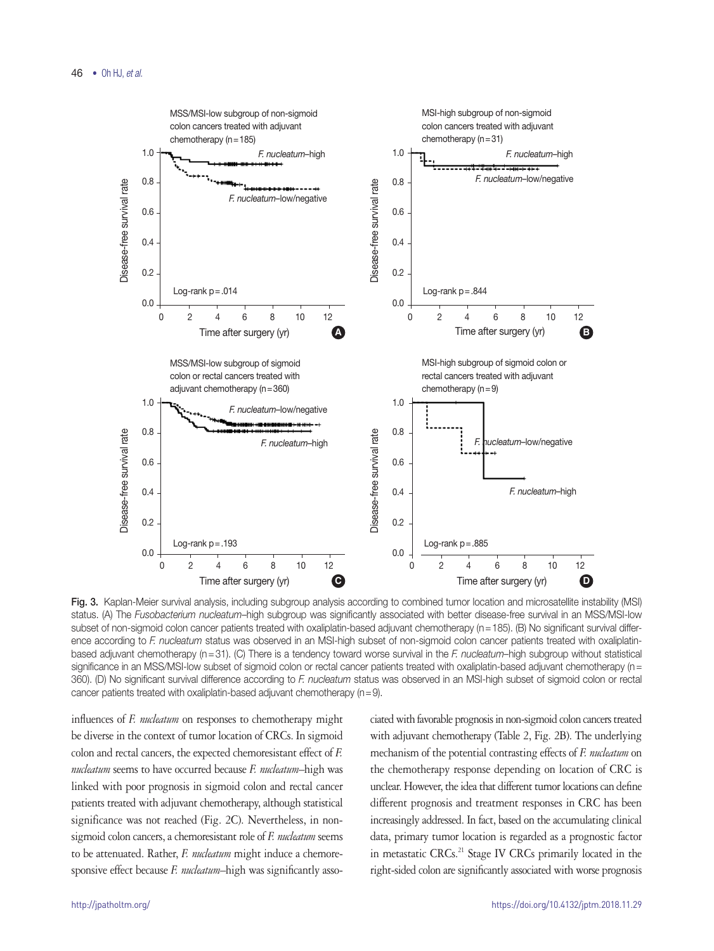

Fig. 3. Kaplan-Meier survival analysis, including subgroup analysis according to combined tumor location and microsatellite instability (MSI) status. (A) The *Fusobacterium nucleatum*–high subgroup was significantly associated with better disease-free survival in an MSS/MSI-low subset of non-sigmoid colon cancer patients treated with oxaliplatin-based adjuvant chemotherapy (n=185). (B) No significant survival difference according to *F. nucleatum* status was observed in an MSI-high subset of non-sigmoid colon cancer patients treated with oxaliplatinbased adjuvant chemotherapy (n=31). (C) There is a tendency toward worse survival in the *F. nucleatum*–high subgroup without statistical significance in an MSS/MSI-low subset of sigmoid colon or rectal cancer patients treated with oxaliplatin-based adjuvant chemotherapy (n = 360). (D) No significant survival difference according to *F. nucleatum* status was observed in an MSI-high subset of sigmoid colon or rectal cancer patients treated with oxaliplatin-based adjuvant chemotherapy (n=9).

influences of *F. nucleatum* on responses to chemotherapy might be diverse in the context of tumor location of CRCs. In sigmoid colon and rectal cancers, the expected chemoresistant effect of *F. nucleatum* seems to have occurred because *F. nucleatum*–high was linked with poor prognosis in sigmoid colon and rectal cancer patients treated with adjuvant chemotherapy, although statistical significance was not reached (Fig. 2C). Nevertheless, in nonsigmoid colon cancers, a chemoresistant role of *F. nucleatum* seems to be attenuated. Rather, *F. nucleatum* might induce a chemoresponsive effect because *F. nucleatum*–high was significantly asso-

ciated with favorable prognosis in non-sigmoid colon cancers treated with adjuvant chemotherapy (Table 2, Fig. 2B). The underlying mechanism of the potential contrasting effects of *F. nucleatum* on the chemotherapy response depending on location of CRC is unclear. However, the idea that different tumor locations can define different prognosis and treatment responses in CRC has been increasingly addressed. In fact, based on the accumulating clinical data, primary tumor location is regarded as a prognostic factor in metastatic CRCs.<sup>21</sup> Stage IV CRCs primarily located in the right-sided colon are significantly associated with worse prognosis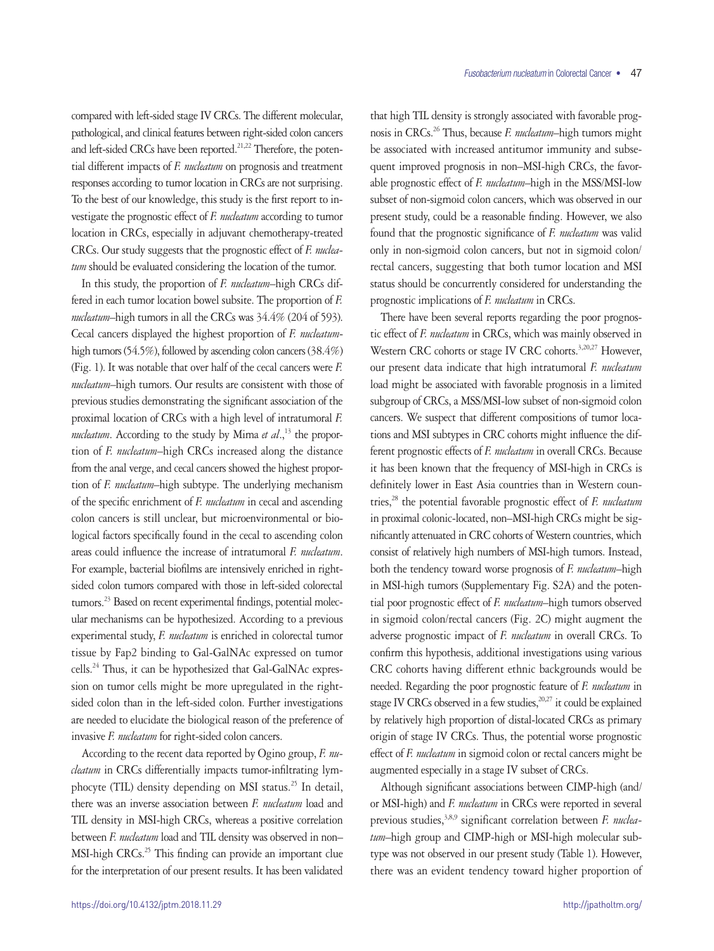compared with left-sided stage IV CRCs. The different molecular, pathological, and clinical features between right-sided colon cancers and left-sided CRCs have been reported.<sup>21,22</sup> Therefore, the potential different impacts of *F. nucleatum* on prognosis and treatment responses according to tumor location in CRCs are not surprising. To the best of our knowledge, this study is the first report to investigate the prognostic effect of *F. nucleatum* according to tumor location in CRCs, especially in adjuvant chemotherapy-treated CRCs. Our study suggests that the prognostic effect of *F. nucleatum* should be evaluated considering the location of the tumor.

In this study, the proportion of *F. nucleatum*–high CRCs differed in each tumor location bowel subsite. The proportion of *F. nucleatum*–high tumors in all the CRCs was 34.4% (204 of 593). Cecal cancers displayed the highest proportion of *F. nucleatum*high tumors (54.5%), followed by ascending colon cancers (38.4%) (Fig. 1). It was notable that over half of the cecal cancers were *F. nucleatum*–high tumors. Our results are consistent with those of previous studies demonstrating the significant association of the proximal location of CRCs with a high level of intratumoral *F. nucleatum*. According to the study by Mima *et al.*,<sup>13</sup> the proportion of *F. nucleatum*–high CRCs increased along the distance from the anal verge, and cecal cancers showed the highest proportion of *F. nucleatum*–high subtype. The underlying mechanism of the specific enrichment of *F. nucleatum* in cecal and ascending colon cancers is still unclear, but microenvironmental or biological factors specifically found in the cecal to ascending colon areas could influence the increase of intratumoral *F. nucleatum*. For example, bacterial biofilms are intensively enriched in rightsided colon tumors compared with those in left-sided colorectal tumors.<sup>23</sup> Based on recent experimental findings, potential molecular mechanisms can be hypothesized. According to a previous experimental study, *F. nucleatum* is enriched in colorectal tumor tissue by Fap2 binding to Gal-GalNAc expressed on tumor cells.24 Thus, it can be hypothesized that Gal-GalNAc expression on tumor cells might be more upregulated in the rightsided colon than in the left-sided colon. Further investigations are needed to elucidate the biological reason of the preference of invasive *F. nucleatum* for right-sided colon cancers.

According to the recent data reported by Ogino group, *F. nucleatum* in CRCs differentially impacts tumor-infiltrating lymphocyte (TIL) density depending on MSI status.<sup>25</sup> In detail, there was an inverse association between *F. nucleatum* load and TIL density in MSI-high CRCs, whereas a positive correlation between *F. nucleatum* load and TIL density was observed in non– MSI-high CRCs.<sup>25</sup> This finding can provide an important clue for the interpretation of our present results. It has been validated

that high TIL density is strongly associated with favorable prognosis in CRCs.26 Thus, because *F. nucleatum*–high tumors might be associated with increased antitumor immunity and subsequent improved prognosis in non–MSI-high CRCs, the favorable prognostic effect of *F. nucleatum*–high in the MSS/MSI-low subset of non-sigmoid colon cancers, which was observed in our present study, could be a reasonable finding. However, we also found that the prognostic significance of *F. nucleatum* was valid only in non-sigmoid colon cancers, but not in sigmoid colon/ rectal cancers, suggesting that both tumor location and MSI status should be concurrently considered for understanding the prognostic implications of *F. nucleatum* in CRCs.

There have been several reports regarding the poor prognostic effect of *F. nucleatum* in CRCs, which was mainly observed in Western CRC cohorts or stage IV CRC cohorts.<sup>3,20,27</sup> However, our present data indicate that high intratumoral *F. nucleatum* load might be associated with favorable prognosis in a limited subgroup of CRCs, a MSS/MSI-low subset of non-sigmoid colon cancers. We suspect that different compositions of tumor locations and MSI subtypes in CRC cohorts might influence the different prognostic effects of *F. nucleatum* in overall CRCs. Because it has been known that the frequency of MSI-high in CRCs is definitely lower in East Asia countries than in Western countries,28 the potential favorable prognostic effect of *F. nucleatum* in proximal colonic-located, non–MSI-high CRCs might be significantly attenuated in CRC cohorts of Western countries, which consist of relatively high numbers of MSI-high tumors. Instead, both the tendency toward worse prognosis of *F. nucleatum*–high in MSI-high tumors (Supplementary Fig. S2A) and the potential poor prognostic effect of *F. nucleatum*–high tumors observed in sigmoid colon/rectal cancers (Fig. 2C) might augment the adverse prognostic impact of *F. nucleatum* in overall CRCs. To confirm this hypothesis, additional investigations using various CRC cohorts having different ethnic backgrounds would be needed. Regarding the poor prognostic feature of *F. nucleatum* in stage IV CRCs observed in a few studies, $20,27$  it could be explained by relatively high proportion of distal-located CRCs as primary origin of stage IV CRCs. Thus, the potential worse prognostic effect of *F. nucleatum* in sigmoid colon or rectal cancers might be augmented especially in a stage IV subset of CRCs.

Although significant associations between CIMP-high (and/ or MSI-high) and *F. nucleatum* in CRCs were reported in several previous studies,<sup>3,8,9</sup> significant correlation between *F. nucleatum*–high group and CIMP-high or MSI-high molecular subtype was not observed in our present study (Table 1). However, there was an evident tendency toward higher proportion of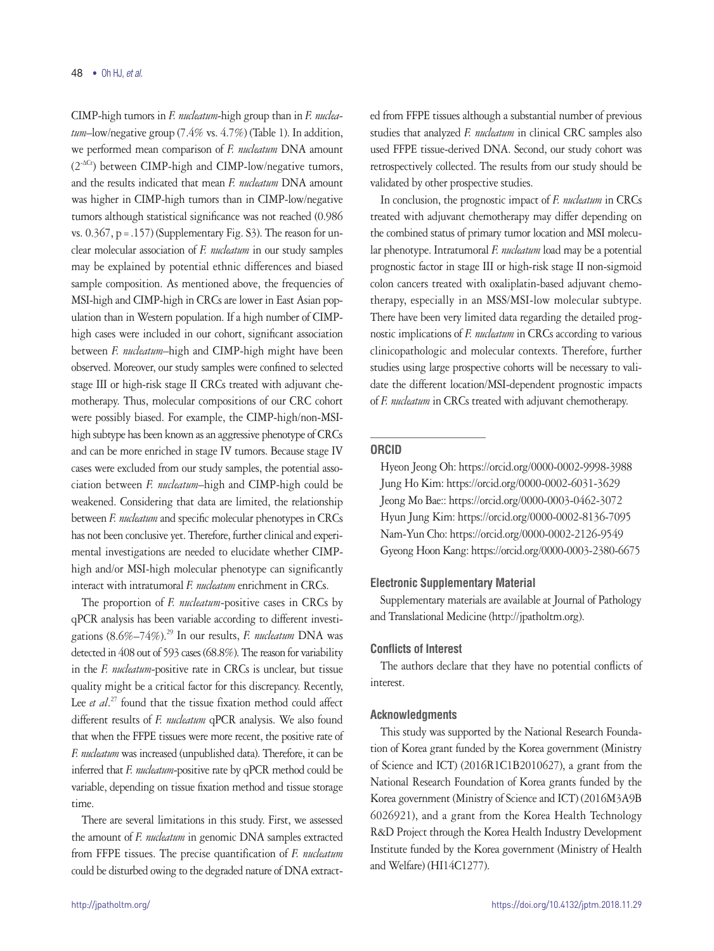CIMP-high tumors in *F. nucleatum*-high group than in *F. nucleatum*–low/negative group (7.4% vs. 4.7%) (Table 1). In addition, we performed mean comparison of *F. nucleatum* DNA amount (2-∆Ct) between CIMP-high and CIMP-low/negative tumors, and the results indicated that mean *F. nucleatum* DNA amount was higher in CIMP-high tumors than in CIMP-low/negative tumors although statistical significance was not reached (0.986 vs.  $0.367$ , p = .157) (Supplementary Fig. S3). The reason for unclear molecular association of *F. nucleatum* in our study samples may be explained by potential ethnic differences and biased sample composition. As mentioned above, the frequencies of MSI-high and CIMP-high in CRCs are lower in East Asian population than in Western population. If a high number of CIMPhigh cases were included in our cohort, significant association between *F. nucleatum*–high and CIMP-high might have been observed. Moreover, our study samples were confined to selected stage III or high-risk stage II CRCs treated with adjuvant chemotherapy. Thus, molecular compositions of our CRC cohort were possibly biased. For example, the CIMP-high/non-MSIhigh subtype has been known as an aggressive phenotype of CRCs and can be more enriched in stage IV tumors. Because stage IV cases were excluded from our study samples, the potential association between *F. nucleatum*–high and CIMP-high could be weakened. Considering that data are limited, the relationship between *F. nucleatum* and specific molecular phenotypes in CRCs has not been conclusive yet. Therefore, further clinical and experimental investigations are needed to elucidate whether CIMPhigh and/or MSI-high molecular phenotype can significantly interact with intratumoral *F. nucleatum* enrichment in CRCs.

The proportion of *F. nucleatum*-positive cases in CRCs by qPCR analysis has been variable according to different investigations (8.6%–74%).<sup>29</sup> In our results, *F. nucleatum* DNA was detected in 408 out of 593 cases (68.8%). The reason for variability in the *F. nucleatum*-positive rate in CRCs is unclear, but tissue quality might be a critical factor for this discrepancy. Recently, Lee *et al*. 27 found that the tissue fixation method could affect different results of *F. nucleatum* qPCR analysis. We also found that when the FFPE tissues were more recent, the positive rate of *F. nucleatum* was increased (unpublished data). Therefore, it can be inferred that *F. nucleatum*-positive rate by qPCR method could be variable, depending on tissue fixation method and tissue storage time.

There are several limitations in this study. First, we assessed the amount of *F. nucleatum* in genomic DNA samples extracted from FFPE tissues. The precise quantification of *F. nucleatum* could be disturbed owing to the degraded nature of DNA extracted from FFPE tissues although a substantial number of previous studies that analyzed *F. nucleatum* in clinical CRC samples also used FFPE tissue-derived DNA. Second, our study cohort was retrospectively collected. The results from our study should be validated by other prospective studies.

In conclusion, the prognostic impact of *F. nucleatum* in CRCs treated with adjuvant chemotherapy may differ depending on the combined status of primary tumor location and MSI molecular phenotype. Intratumoral *F. nucleatum* load may be a potential prognostic factor in stage III or high-risk stage II non-sigmoid colon cancers treated with oxaliplatin-based adjuvant chemotherapy, especially in an MSS/MSI-low molecular subtype. There have been very limited data regarding the detailed prognostic implications of *F. nucleatum* in CRCs according to various clinicopathologic and molecular contexts. Therefore, further studies using large prospective cohorts will be necessary to validate the different location/MSI-dependent prognostic impacts of *F. nucleatum* in CRCs treated with adjuvant chemotherapy.

#### **ORCID**

Hyeon Jeong Oh: https://orcid.org/0000-0002-9998-3988 Jung Ho Kim: https://orcid.org/0000-0002-6031-3629 Jeong Mo Bae:: https://orcid.org/0000-0003-0462-3072 Hyun Jung Kim: https://orcid.org/0000-0002-8136-7095 Nam-Yun Cho: https://orcid.org/0000-0002-2126-9549 Gyeong Hoon Kang: https://orcid.org/0000-0003-2380-6675

### **Electronic Supplementary Material**

Supplementary materials are available at Journal of Pathology and Translational Medicine (http://jpatholtm.org).

### **Conflicts of Interest**

The authors declare that they have no potential conflicts of interest.

### **Acknowledgments**

This study was supported by the National Research Foundation of Korea grant funded by the Korea government (Ministry of Science and ICT) (2016R1C1B2010627), a grant from the National Research Foundation of Korea grants funded by the Korea government (Ministry of Science and ICT) (2016M3A9B 6026921), and a grant from the Korea Health Technology R&D Project through the Korea Health Industry Development Institute funded by the Korea government (Ministry of Health and Welfare) (HI14C1277).